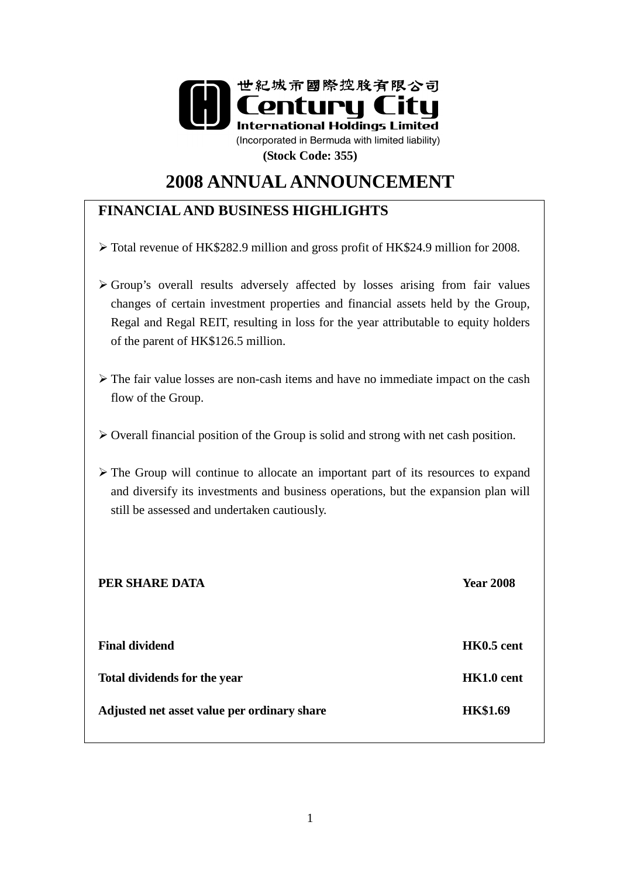

# **2008 ANNUAL ANNOUNCEMENT**

## **FINANCIAL AND BUSINESS HIGHLIGHTS**

- Total revenue of HK\$282.9 million and gross profit of HK\$24.9 million for 2008.
- Group's overall results adversely affected by losses arising from fair values changes of certain investment properties and financial assets held by the Group, Regal and Regal REIT, resulting in loss for the year attributable to equity holders of the parent of HK\$126.5 million.
- $\triangleright$  The fair value losses are non-cash items and have no immediate impact on the cash flow of the Group.
- $\triangleright$  Overall financial position of the Group is solid and strong with net cash position.
- $\triangleright$  The Group will continue to allocate an important part of its resources to expand and diversify its investments and business operations, but the expansion plan will still be assessed and undertaken cautiously.

| PER SHARE DATA                              | <b>Year 2008</b> |
|---------------------------------------------|------------------|
|                                             |                  |
| <b>Final dividend</b>                       | HK0.5 cent       |
| Total dividends for the year                | HK1.0 cent       |
| Adjusted net asset value per ordinary share | <b>HK\$1.69</b>  |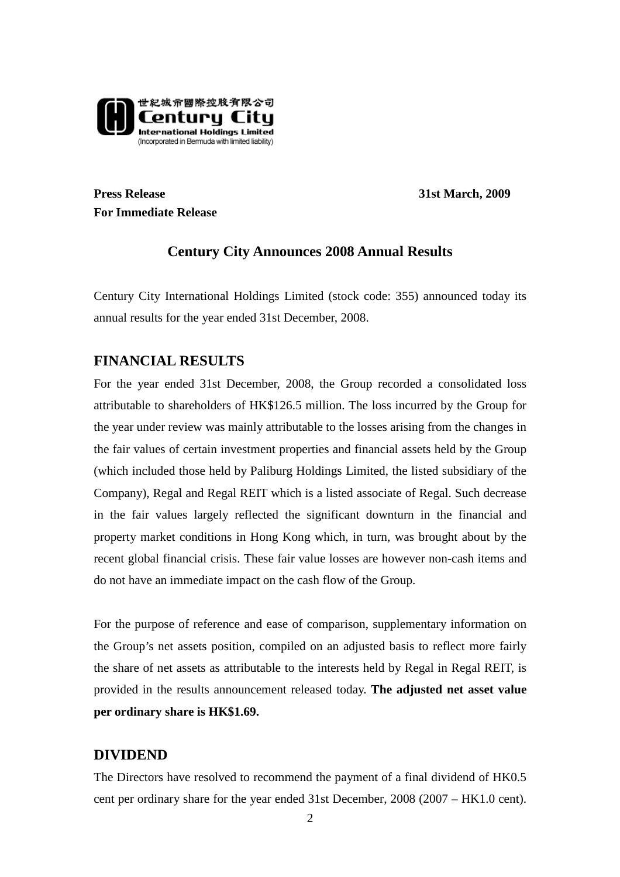

**Press Release** 31st March, 2009 **For Immediate Release** 

## **Century City Announces 2008 Annual Results**

Century City International Holdings Limited (stock code: 355) announced today its annual results for the year ended 31st December, 2008.

## **FINANCIAL RESULTS**

For the year ended 31st December, 2008, the Group recorded a consolidated loss attributable to shareholders of HK\$126.5 million. The loss incurred by the Group for the year under review was mainly attributable to the losses arising from the changes in the fair values of certain investment properties and financial assets held by the Group (which included those held by Paliburg Holdings Limited, the listed subsidiary of the Company), Regal and Regal REIT which is a listed associate of Regal. Such decrease in the fair values largely reflected the significant downturn in the financial and property market conditions in Hong Kong which, in turn, was brought about by the recent global financial crisis. These fair value losses are however non-cash items and do not have an immediate impact on the cash flow of the Group.

For the purpose of reference and ease of comparison, supplementary information on the Group's net assets position, compiled on an adjusted basis to reflect more fairly the share of net assets as attributable to the interests held by Regal in Regal REIT, is provided in the results announcement released today. **The adjusted net asset value per ordinary share is HK\$1.69.** 

## **DIVIDEND**

The Directors have resolved to recommend the payment of a final dividend of HK0.5 cent per ordinary share for the year ended 31st December, 2008 (2007 – HK1.0 cent).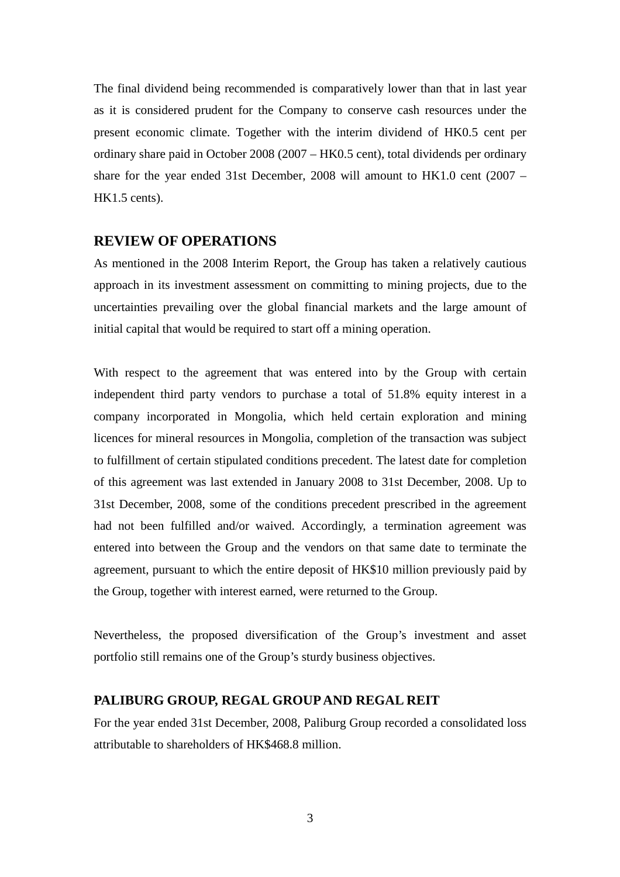The final dividend being recommended is comparatively lower than that in last year as it is considered prudent for the Company to conserve cash resources under the present economic climate. Together with the interim dividend of HK0.5 cent per ordinary share paid in October 2008 (2007 – HK0.5 cent), total dividends per ordinary share for the year ended 31st December, 2008 will amount to HK1.0 cent (2007 – HK1.5 cents).

#### **REVIEW OF OPERATIONS**

As mentioned in the 2008 Interim Report, the Group has taken a relatively cautious approach in its investment assessment on committing to mining projects, due to the uncertainties prevailing over the global financial markets and the large amount of initial capital that would be required to start off a mining operation.

With respect to the agreement that was entered into by the Group with certain independent third party vendors to purchase a total of 51.8% equity interest in a company incorporated in Mongolia, which held certain exploration and mining licences for mineral resources in Mongolia, completion of the transaction was subject to fulfillment of certain stipulated conditions precedent. The latest date for completion of this agreement was last extended in January 2008 to 31st December, 2008. Up to 31st December, 2008, some of the conditions precedent prescribed in the agreement had not been fulfilled and/or waived. Accordingly, a termination agreement was entered into between the Group and the vendors on that same date to terminate the agreement, pursuant to which the entire deposit of HK\$10 million previously paid by the Group, together with interest earned, were returned to the Group.

Nevertheless, the proposed diversification of the Group's investment and asset portfolio still remains one of the Group's sturdy business objectives.

#### **PALIBURG GROUP, REGAL GROUP AND REGAL REIT**

For the year ended 31st December, 2008, Paliburg Group recorded a consolidated loss attributable to shareholders of HK\$468.8 million.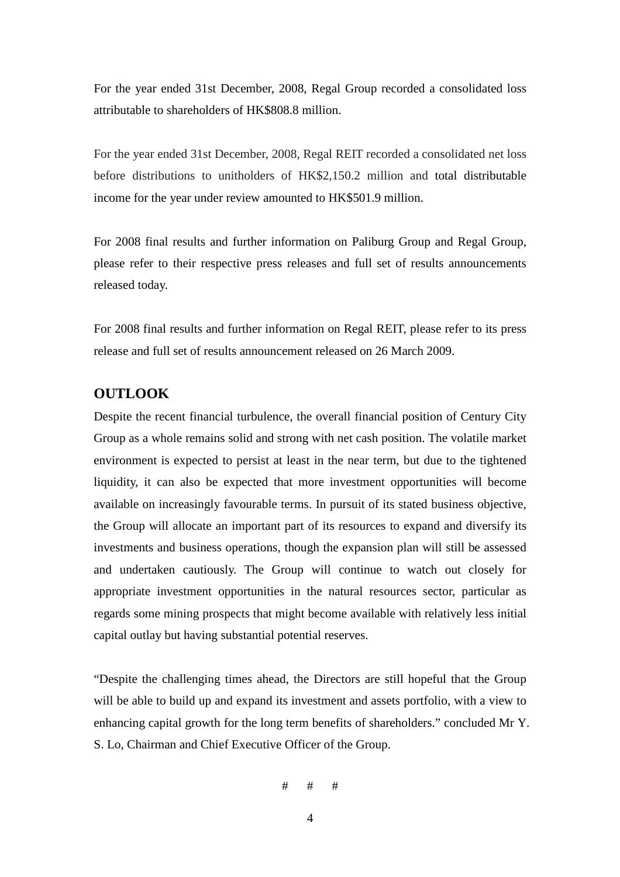For the year ended 31st December, 2008, Regal Group recorded a consolidated loss attributable to shareholders of HK\$808.8 million.

For the year ended 31st December, 2008, Regal REIT recorded a consolidated net loss before distributions to unitholders of HK\$2,150.2 million and total distributable income for the year under review amounted to HK\$501.9 million.

For 2008 final results and further information on Paliburg Group and Regal Group, please refer to their respective press releases and full set of results announcements released today.

For 2008 final results and further information on Regal REIT, please refer to its press release and full set of results announcement released on 26 March 2009.

#### **OUTLOOK**

Despite the recent financial turbulence, the overall financial position of Century City Group as a whole remains solid and strong with net cash position. The volatile market environment is expected to persist at least in the near term, but due to the tightened liquidity, it can also be expected that more investment opportunities will become available on increasingly favourable terms. In pursuit of its stated business objective, the Group will allocate an important part of its resources to expand and diversify its investments and business operations, though the expansion plan will still be assessed and undertaken cautiously. The Group will continue to watch out closely for appropriate investment opportunities in the natural resources sector, particular as regards some mining prospects that might become available with relatively less initial capital outlay but having substantial potential reserves.

"Despite the challenging times ahead, the Directors are still hopeful that the Group will be able to build up and expand its investment and assets portfolio, with a view to enhancing capital growth for the long term benefits of shareholders." concluded Mr Y. S. Lo, Chairman and Chief Executive Officer of the Group.

```
# # #
```